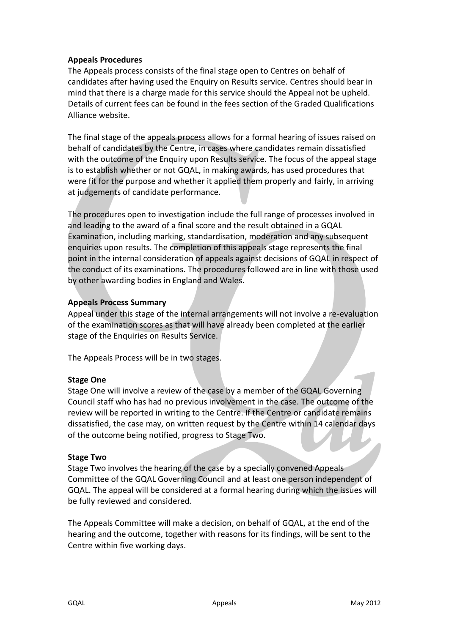## **Appeals Procedures**

The Appeals process consists of the final stage open to Centres on behalf of candidates after having used the Enquiry on Results service. Centres should bear in mind that there is a charge made for this service should the Appeal not be upheld. Details of current fees can be found in the fees section of the Graded Qualifications Alliance website.

The final stage of the appeals process allows for a formal hearing of issues raised on behalf of candidates by the Centre, in cases where candidates remain dissatisfied with the outcome of the Enquiry upon Results service. The focus of the appeal stage is to establish whether or not GQAL, in making awards, has used procedures that were fit for the purpose and whether it applied them properly and fairly, in arriving at judgements of candidate performance.

The procedures open to investigation include the full range of processes involved in and leading to the award of a final score and the result obtained in a GQAL Examination, including marking, standardisation, moderation and any subsequent enquiries upon results. The completion of this appeals stage represents the final point in the internal consideration of appeals against decisions of GQAL in respect of the conduct of its examinations. The procedures followed are in line with those used by other awarding bodies in England and Wales.

### **Appeals Process Summary**

Appeal under this stage of the internal arrangements will not involve a re-evaluation of the examination scores as that will have already been completed at the earlier stage of the Enquiries on Results Service.

The Appeals Process will be in two stages.

### **Stage One**

Stage One will involve a review of the case by a member of the GQAL Governing Council staff who has had no previous involvement in the case. The outcome of the review will be reported in writing to the Centre. If the Centre or candidate remains dissatisfied, the case may, on written request by the Centre within 14 calendar days of the outcome being notified, progress to Stage Two.

### **Stage Two**

Stage Two involves the hearing of the case by a specially convened Appeals Committee of the GQAL Governing Council and at least one person independent of GQAL. The appeal will be considered at a formal hearing during which the issues will be fully reviewed and considered.

The Appeals Committee will make a decision, on behalf of GQAL, at the end of the hearing and the outcome, together with reasons for its findings, will be sent to the Centre within five working days.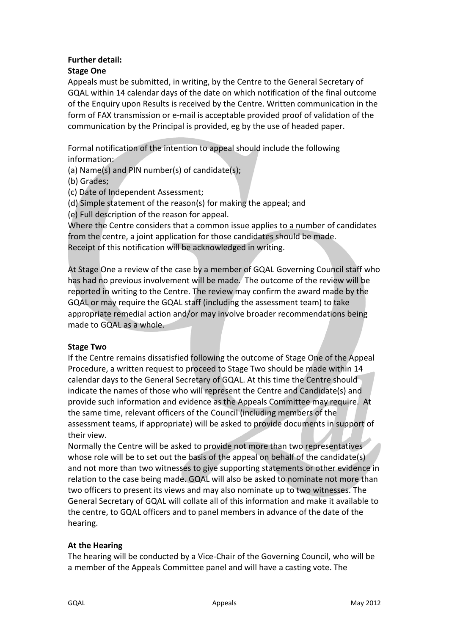## **Further detail:**

## **Stage One**

Appeals must be submitted, in writing, by the Centre to the General Secretary of GQAL within 14 calendar days of the date on which notification of the final outcome of the Enquiry upon Results is received by the Centre. Written communication in the form of FAX transmission or e-mail is acceptable provided proof of validation of the communication by the Principal is provided, eg by the use of headed paper.

Formal notification of the intention to appeal should include the following information:

(a) Name(s) and PIN number(s) of candidate(s);

(b) Grades;

(c) Date of Independent Assessment;

(d) Simple statement of the reason(s) for making the appeal; and

(e) Full description of the reason for appeal.

Where the Centre considers that a common issue applies to a number of candidates from the centre, a joint application for those candidates should be made. Receipt of this notification will be acknowledged in writing.

At Stage One a review of the case by a member of GQAL Governing Council staff who has had no previous involvement will be made. The outcome of the review will be reported in writing to the Centre. The review may confirm the award made by the GQAL or may require the GQAL staff (including the assessment team) to take appropriate remedial action and/or may involve broader recommendations being made to GQAL as a whole.

### **Stage Two**

If the Centre remains dissatisfied following the outcome of Stage One of the Appeal Procedure, a written request to proceed to Stage Two should be made within 14 calendar days to the General Secretary of GQAL. At this time the Centre should indicate the names of those who will represent the Centre and Candidate(s) and provide such information and evidence as the Appeals Committee may require. At the same time, relevant officers of the Council (including members of the assessment teams, if appropriate) will be asked to provide documents in support of their view.

Normally the Centre will be asked to provide not more than two representatives whose role will be to set out the basis of the appeal on behalf of the candidate(s) and not more than two witnesses to give supporting statements or other evidence in relation to the case being made. GQAL will also be asked to nominate not more than two officers to present its views and may also nominate up to two witnesses. The General Secretary of GQAL will collate all of this information and make it available to the centre, to GQAL officers and to panel members in advance of the date of the hearing.

# **At the Hearing**

The hearing will be conducted by a Vice-Chair of the Governing Council, who will be a member of the Appeals Committee panel and will have a casting vote. The